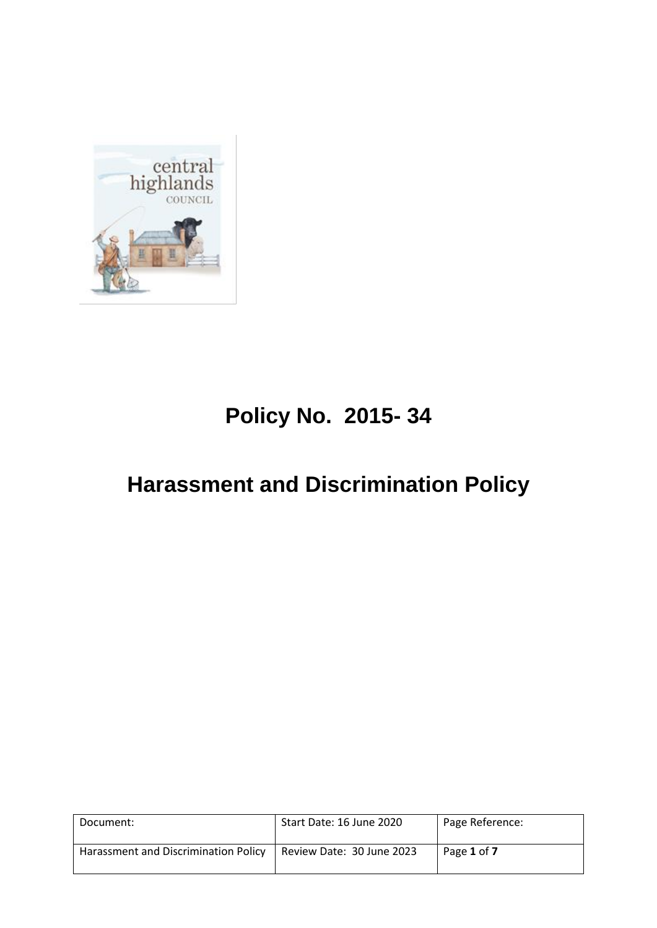

## **Policy No. 2015- 34**

# **Harassment and Discrimination Policy**

| Document:                            | Start Date: 16 June 2020  | Page Reference: |
|--------------------------------------|---------------------------|-----------------|
| Harassment and Discrimination Policy | Review Date: 30 June 2023 | Page 1 of 7     |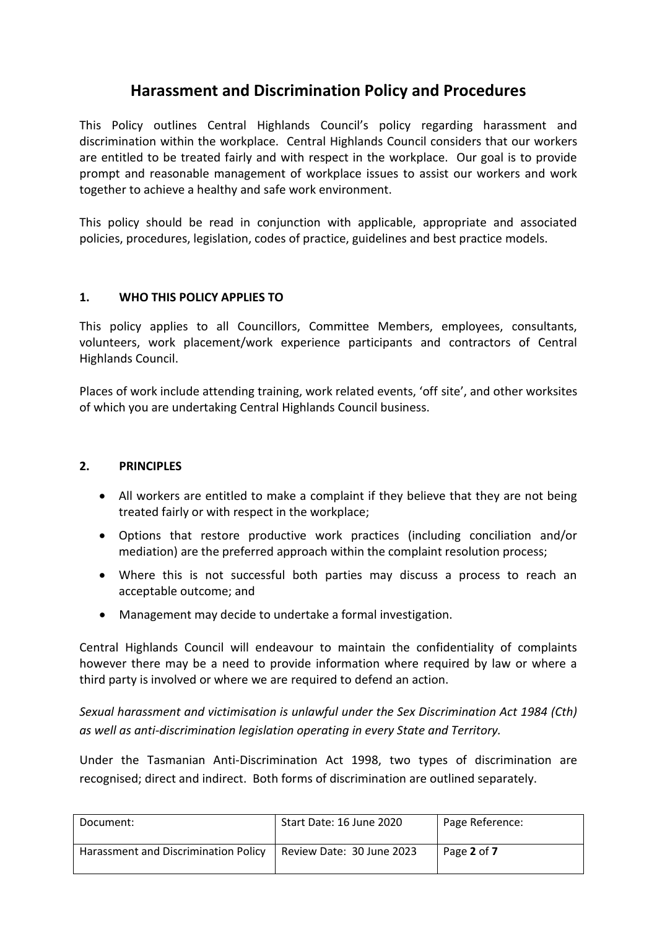### **Harassment and Discrimination Policy and Procedures**

This Policy outlines Central Highlands Council's policy regarding harassment and discrimination within the workplace. Central Highlands Council considers that our workers are entitled to be treated fairly and with respect in the workplace. Our goal is to provide prompt and reasonable management of workplace issues to assist our workers and work together to achieve a healthy and safe work environment.

This policy should be read in conjunction with applicable, appropriate and associated policies, procedures, legislation, codes of practice, guidelines and best practice models.

#### **1. WHO THIS POLICY APPLIES TO**

This policy applies to all Councillors, Committee Members, employees, consultants, volunteers, work placement/work experience participants and contractors of Central Highlands Council.

Places of work include attending training, work related events, 'off site', and other worksites of which you are undertaking Central Highlands Council business.

#### **2. PRINCIPLES**

- All workers are entitled to make a complaint if they believe that they are not being treated fairly or with respect in the workplace;
- Options that restore productive work practices (including conciliation and/or mediation) are the preferred approach within the complaint resolution process;
- Where this is not successful both parties may discuss a process to reach an acceptable outcome; and
- Management may decide to undertake a formal investigation.

Central Highlands Council will endeavour to maintain the confidentiality of complaints however there may be a need to provide information where required by law or where a third party is involved or where we are required to defend an action.

*Sexual harassment and victimisation is unlawful under the Sex Discrimination Act 1984 (Cth) as well as anti-discrimination legislation operating in every State and Territory.*

Under the Tasmanian Anti-Discrimination Act 1998, two types of discrimination are recognised; direct and indirect. Both forms of discrimination are outlined separately.

| Document:                            | Start Date: 16 June 2020  | Page Reference: |
|--------------------------------------|---------------------------|-----------------|
| Harassment and Discrimination Policy | Review Date: 30 June 2023 | Page 2 of 7     |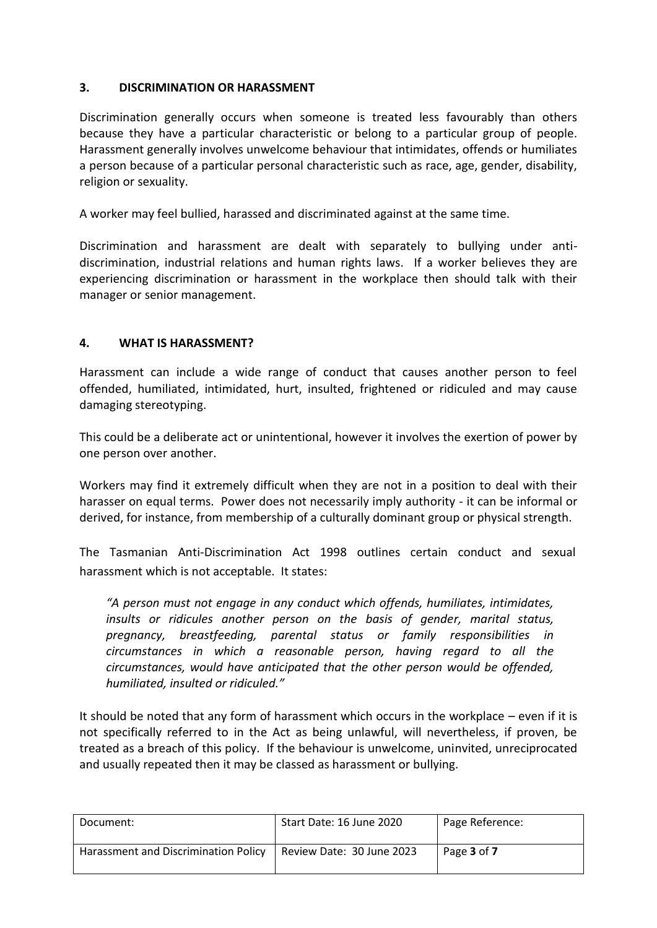#### **3. DISCRIMINATION OR HARASSMENT**

Discrimination generally occurs when someone is treated less favourably than others because they have a particular characteristic or belong to a particular group of people. Harassment generally involves unwelcome behaviour that intimidates, offends or humiliates a person because of a particular personal characteristic such as race, age, gender, disability, religion or sexuality.

A worker may feel bullied, harassed and discriminated against at the same time.

Discrimination and harassment are dealt with separately to bullying under antidiscrimination, industrial relations and human rights laws. If a worker believes they are experiencing discrimination or harassment in the workplace then should talk with their manager or senior management.

#### **4. WHAT IS HARASSMENT?**

Harassment can include a wide range of conduct that causes another person to feel offended, humiliated, intimidated, hurt, insulted, frightened or ridiculed and may cause damaging stereotyping.

This could be a deliberate act or unintentional, however it involves the exertion of power by one person over another.

Workers may find it extremely difficult when they are not in a position to deal with their harasser on equal terms. Power does not necessarily imply authority - it can be informal or derived, for instance, from membership of a culturally dominant group or physical strength.

The Tasmanian Anti-Discrimination Act 1998 outlines certain conduct and sexual harassment which is not acceptable. It states:

*"A person must not engage in any conduct which offends, humiliates, intimidates, insults or ridicules another person on the basis of gender, marital status, pregnancy, breastfeeding, parental status or family responsibilities in circumstances in which a reasonable person, having regard to all the circumstances, would have anticipated that the other person would be offended, humiliated, insulted or ridiculed."*

It should be noted that any form of harassment which occurs in the workplace – even if it is not specifically referred to in the Act as being unlawful, will nevertheless, if proven, be treated as a breach of this policy. If the behaviour is unwelcome, uninvited, unreciprocated and usually repeated then it may be classed as harassment or bullying.

| Document:                            | Start Date: 16 June 2020  | Page Reference: |
|--------------------------------------|---------------------------|-----------------|
| Harassment and Discrimination Policy | Review Date: 30 June 2023 | Page 3 of 7     |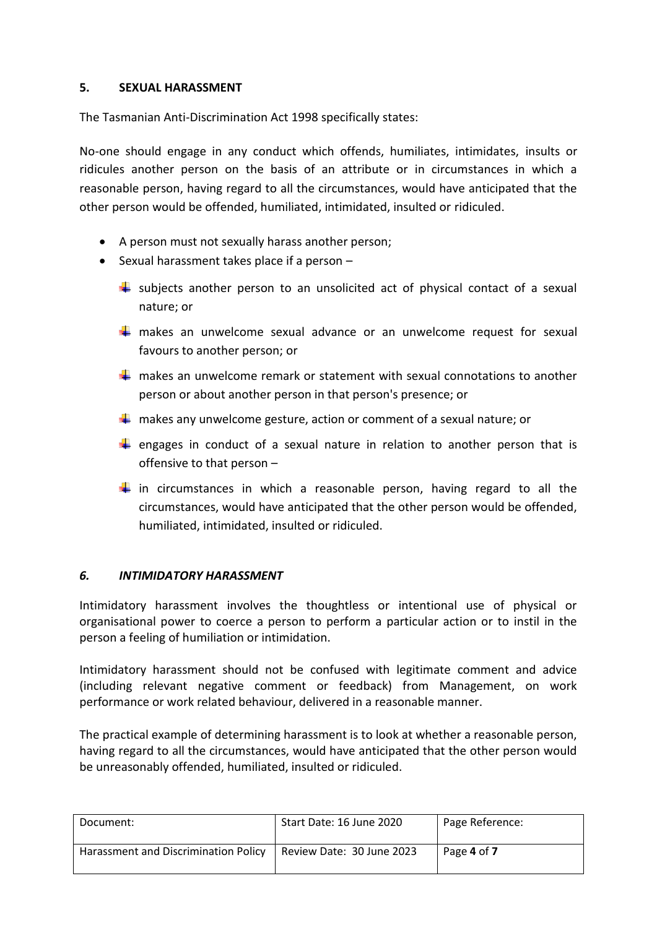#### **5. SEXUAL HARASSMENT**

The Tasmanian Anti-Discrimination Act 1998 specifically states:

No-one should engage in any conduct which offends, humiliates, intimidates, insults or ridicules another person on the basis of an attribute or in circumstances in which a reasonable person, having regard to all the circumstances, would have anticipated that the other person would be offended, humiliated, intimidated, insulted or ridiculed.

- A person must not sexually harass another person;
- $\bullet$  Sexual harassment takes place if a person  $-$ 
	- $\downarrow$  subjects another person to an unsolicited act of physical contact of a sexual nature; or
	- $\frac{1}{\sqrt{2}}$  makes an unwelcome sexual advance or an unwelcome request for sexual favours to another person; or
	- $\frac{1}{2}$  makes an unwelcome remark or statement with sexual connotations to another person or about another person in that person's presence; or
	- $\frac{1}{2}$  makes any unwelcome gesture, action or comment of a sexual nature; or
	- **E** engages in conduct of a sexual nature in relation to another person that is offensive to that person –
	- $\frac{1}{\sqrt{1}}$  in circumstances in which a reasonable person, having regard to all the circumstances, would have anticipated that the other person would be offended, humiliated, intimidated, insulted or ridiculed.

#### *6. INTIMIDATORY HARASSMENT*

Intimidatory harassment involves the thoughtless or intentional use of physical or organisational power to coerce a person to perform a particular action or to instil in the person a feeling of humiliation or intimidation.

Intimidatory harassment should not be confused with legitimate comment and advice (including relevant negative comment or feedback) from Management, on work performance or work related behaviour, delivered in a reasonable manner.

The practical example of determining harassment is to look at whether a reasonable person, having regard to all the circumstances, would have anticipated that the other person would be unreasonably offended, humiliated, insulted or ridiculed.

| Document:                            | Start Date: 16 June 2020  | Page Reference: |
|--------------------------------------|---------------------------|-----------------|
| Harassment and Discrimination Policy | Review Date: 30 June 2023 | Page 4 of 7     |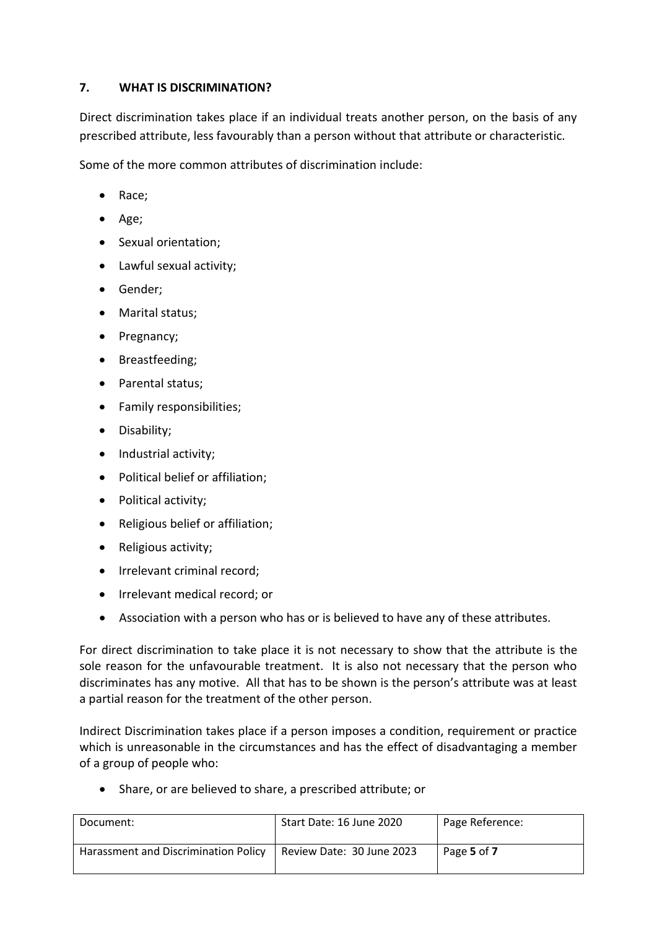#### **7. WHAT IS DISCRIMINATION?**

Direct discrimination takes place if an individual treats another person, on the basis of any prescribed attribute, less favourably than a person without that attribute or characteristic.

Some of the more common attributes of discrimination include:

- Race;
- $\bullet$  Age;
- Sexual orientation;
- Lawful sexual activity;
- Gender;
- Marital status;
- Pregnancy;
- Breastfeeding;
- Parental status;
- Family responsibilities;
- Disability;
- Industrial activity;
- Political belief or affiliation;
- Political activity;
- Religious belief or affiliation;
- Religious activity;
- Irrelevant criminal record;
- Irrelevant medical record; or
- Association with a person who has or is believed to have any of these attributes.

For direct discrimination to take place it is not necessary to show that the attribute is the sole reason for the unfavourable treatment. It is also not necessary that the person who discriminates has any motive. All that has to be shown is the person's attribute was at least a partial reason for the treatment of the other person.

Indirect Discrimination takes place if a person imposes a condition, requirement or practice which is unreasonable in the circumstances and has the effect of disadvantaging a member of a group of people who:

Share, or are believed to share, a prescribed attribute; or

| Document:                            | Start Date: 16 June 2020  | Page Reference: |
|--------------------------------------|---------------------------|-----------------|
| Harassment and Discrimination Policy | Review Date: 30 June 2023 | Page 5 of 7     |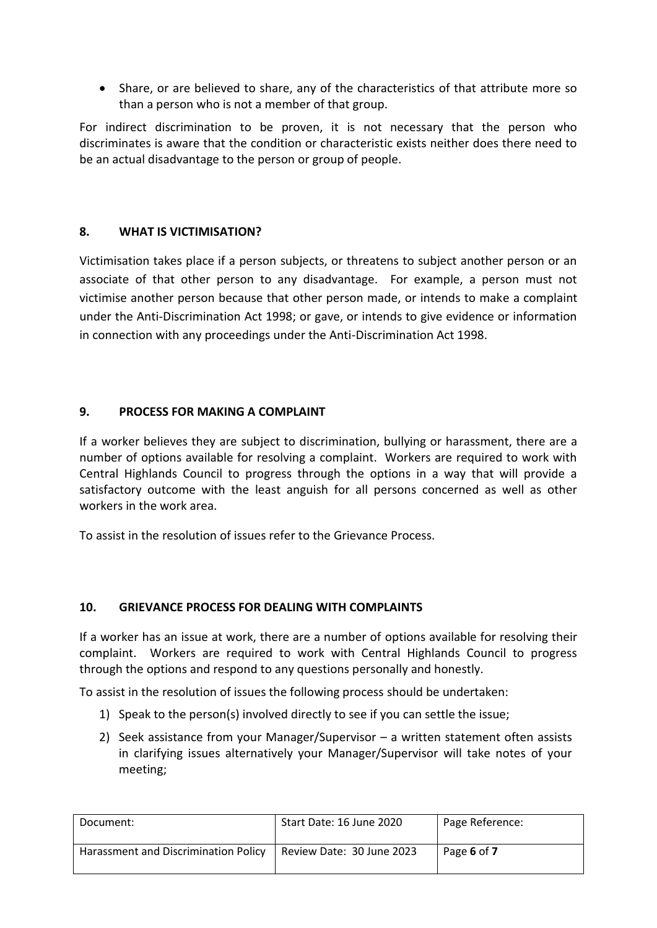Share, or are believed to share, any of the characteristics of that attribute more so than a person who is not a member of that group.

For indirect discrimination to be proven, it is not necessary that the person who discriminates is aware that the condition or characteristic exists neither does there need to be an actual disadvantage to the person or group of people.

#### **8. WHAT IS VICTIMISATION?**

Victimisation takes place if a person subjects, or threatens to subject another person or an associate of that other person to any disadvantage. For example, a person must not victimise another person because that other person made, or intends to make a complaint under the Anti-Discrimination Act 1998; or gave, or intends to give evidence or information in connection with any proceedings under the Anti-Discrimination Act 1998.

#### **9. PROCESS FOR MAKING A COMPLAINT**

If a worker believes they are subject to discrimination, bullying or harassment, there are a number of options available for resolving a complaint. Workers are required to work with Central Highlands Council to progress through the options in a way that will provide a satisfactory outcome with the least anguish for all persons concerned as well as other workers in the work area.

To assist in the resolution of issues refer to the Grievance Process.

#### **10. GRIEVANCE PROCESS FOR DEALING WITH COMPLAINTS**

If a worker has an issue at work, there are a number of options available for resolving their complaint. Workers are required to work with Central Highlands Council to progress through the options and respond to any questions personally and honestly.

To assist in the resolution of issues the following process should be undertaken:

- 1) Speak to the person(s) involved directly to see if you can settle the issue;
- 2) Seek assistance from your Manager/Supervisor a written statement often assists in clarifying issues alternatively your Manager/Supervisor will take notes of your meeting;

| Document:                            | Start Date: 16 June 2020  | Page Reference: |
|--------------------------------------|---------------------------|-----------------|
| Harassment and Discrimination Policy | Review Date: 30 June 2023 | Page 6 of 7     |